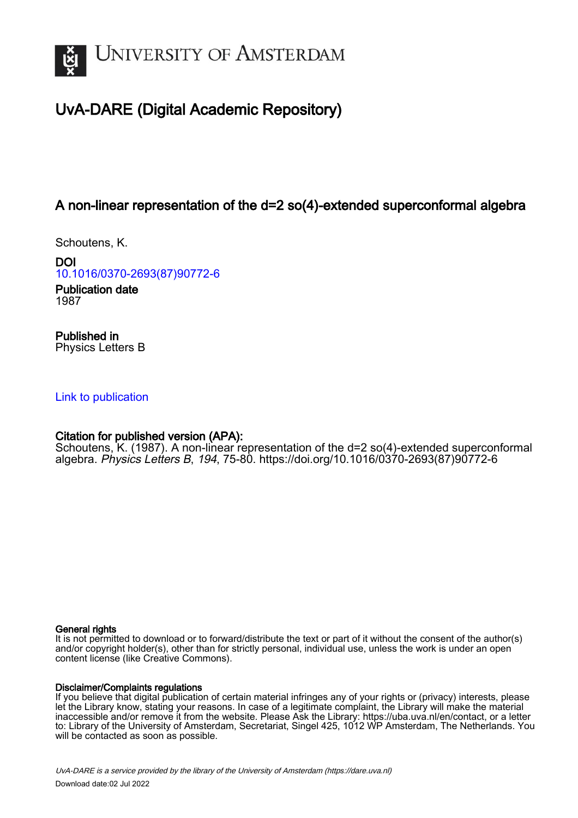

# UvA-DARE (Digital Academic Repository)

# A non-linear representation of the d=2 so(4)-extended superconformal algebra

Schoutens, K.

DOI [10.1016/0370-2693\(87\)90772-6](https://doi.org/10.1016/0370-2693(87)90772-6)

Publication date 1987

Published in Physics Letters B

# [Link to publication](https://dare.uva.nl/personal/pure/en/publications/a-nonlinear-representation-of-the-d2-so4extended-superconformal-algebra(6302a7e8-89ad-402a-94d5-f58572e4a89d).html)

# Citation for published version (APA):

Schoutens, K. (1987). A non-linear representation of the d=2 so(4)-extended superconformal algebra. Physics Letters B, 194, 75-80. [https://doi.org/10.1016/0370-2693\(87\)90772-6](https://doi.org/10.1016/0370-2693(87)90772-6)

## General rights

It is not permitted to download or to forward/distribute the text or part of it without the consent of the author(s) and/or copyright holder(s), other than for strictly personal, individual use, unless the work is under an open content license (like Creative Commons).

## Disclaimer/Complaints regulations

If you believe that digital publication of certain material infringes any of your rights or (privacy) interests, please let the Library know, stating your reasons. In case of a legitimate complaint, the Library will make the material inaccessible and/or remove it from the website. Please Ask the Library: https://uba.uva.nl/en/contact, or a letter to: Library of the University of Amsterdam, Secretariat, Singel 425, 1012 WP Amsterdam, The Netherlands. You will be contacted as soon as possible.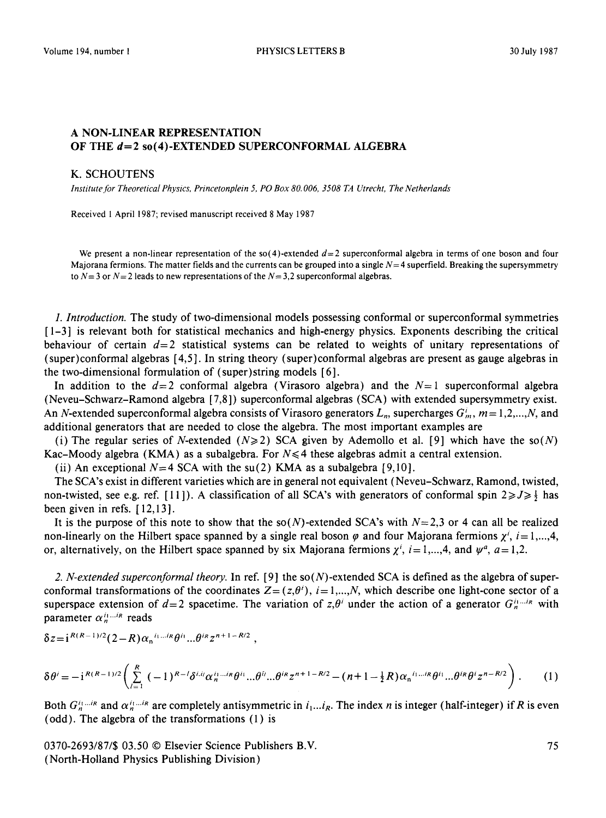### A NON-LINEAR REPRESENTATION **OF THE d=2** so(4)-EXTENDED SUPERCONFORMAL ALGEBRA

#### K. SCHOUTENS

*Institute for Theoretical Physics, Princetonplein 5, PO Box 80. 006, 3508 TA Utrecht, The Netherlands* 

Received 1 April 1987; revised manuscript received 8 May 1987

We present a non-linear representation of the so(4)-extended  $d=2$  superconformal algebra in terms of one boson and four Majorana fermions. The matter fields and the currents can be grouped into a single  $N=4$  superfield. Breaking the supersymmetry to  $N=3$  or  $N=2$  leads to new representations of the  $N=3,2$  superconformal algebras.

*1. Introduction.* The study of two-dimensional models possessing conformal or superconformal symmetries [1-3] is relevant both for statistical mechanics and high-energy physics. Exponents describing the critical behaviour of certain  $d=2$  statistical systems can be related to weights of unitary representations of (super) conformal algebras [ 4,5 ]. In string theory (super)conformal algebras are present as gauge algebras in the two-dimensional formulation of (super)string models [6].

In addition to the  $d=2$  conformal algebra (Virasoro algebra) and the  $N=1$  superconformal algebra (Neveu-Schwarz-Ramond algebra [7,8]) superconformal algebras (SCA) with extended supersymmetry exist. An N-extended superconformal algebra consists of Virasoro generators  $L_n$ , supercharges  $G_m$ ,  $m = 1,2,...,N$ , and additional generators that are needed to close the algebra. The most important examples are

(i) The regular series of N-extended ( $N \ge 2$ ) SCA given by Ademollo et al. [9] which have the so(N) Kac-Moody algebra (KMA) as a subalgebra. For  $N \le 4$  these algebras admit a central extension.

(ii) An exceptional  $N=4$  SCA with the su(2) KMA as a subalgebra [9,10].

The SCA's exist in different varieties which are in general not equivalent (Neveu-Schwarz, Ramond, twisted, non-twisted, see e.g. ref. [11]). A classification of all SCA's with generators of conformal spin  $2 \ge J \ge \frac{1}{2}$  has been given in refs.  $[12,13]$ .

It is the purpose of this note to show that the so(N)-extended SCA's with  $N=2,3$  or 4 can all be realized non-linearly on the Hilbert space spanned by a single real boson  $\varphi$  and four Majorana fermions  $\chi^i$ ,  $i=1,...,4$ , or, alternatively, on the Hilbert space spanned by six Majorana fermions  $\chi^{i}$ ,  $i=1,...,4$ , and  $\psi^{a}$ ,  $a=1,2$ .

2. N-extended superconformal theory. In ref. [9] the so(N)-extended SCA is defined as the algebra of superconformal transformations of the coordinates  $Z = (z, \theta^i)$ ,  $i = 1, ..., N$ , which describe one light-cone sector of a superspace extension of  $d=2$  spacetime. The variation of *z,0'* under the action of a generator  $G_n^{i_1...i_k}$  with parameter  $\alpha_n^{i_1...i_R}$  reads

$$
\delta z = i^{R(R-1)/2} (2-R) \alpha_n^{i_1...i_R} \theta^{i_1} ... \theta^{i_R} z^{n+1-R/2} ,
$$

$$
\delta\theta^{i} = -i^{R(R-1)/2} \left( \sum_{i=1}^{R} (-1)^{R-i} \delta^{i,i} \alpha_{n}^{i_{1}...i_{R}} \theta^{i_{1}} ... \theta^{i_{R}} z^{n+1-R/2} - (n+1-\frac{1}{2}R) \alpha_{n}^{i_{1}...i_{R}} \theta^{i_{1}} ... \theta^{i_{R}} \theta^{i} z^{n-R/2} \right).
$$
 (1)

Both  $G_n^{i_1...i_R}$  and  $\alpha_n^{i_1...i_R}$  are completely antisymmetric in  $i_1...i_R$ . The index n is integer (half-integer) if R is even (odd). The algebra of the transformations (1) is

0370-2693/87/\$ 03.50 © Elsevier Science Publishers B.V. (North-Holland Physics Publishing Division)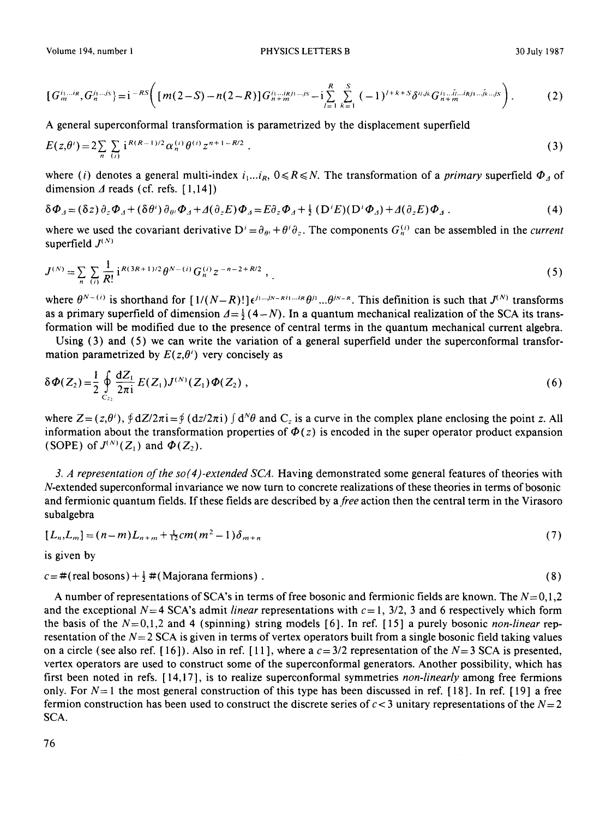$$
[G_m^{i_1...i_R}, G_n^{j_1...j_S}] = i^{-RS} \Big( [m(2-S) - n(2-R)] G_{n+m}^{i_1...i_Rj_1...j_S} - i \sum_{l=1}^R \sum_{k=1}^S (-1)^{l+k+S} \delta^{i_l j_k} G_{n+m}^{i_1...i_Rj_1...j_k...j_S} \Big). \tag{2}
$$

**A** general superconformal transformation is parametrized by the displacement superfield

$$
E(z,\theta^i) = 2\sum_{n} \sum_{(i)} i^{R(R-1)/2} \alpha_n^{(i)} \theta^{(i)} z^{n+1-R/2} . \qquad (3)
$$

where (i) denotes a general multi-index  $i_1...i_R$ ,  $0 \le R \le N$ . The transformation of a *primary* superfield  $\Phi_A$  of dimension  $\Delta$  reads (cf. refs. [1,14])

$$
\delta \Phi_{\Delta} = (\delta z) \partial_z \Phi_{\Delta} + (\delta \theta^i) \partial_{\theta^i} \Phi_{\Delta} + \Delta (\partial_z E) \Phi_{\Delta} = E \partial_z \Phi_{\Delta} + \frac{1}{2} (D^i E) (D^i \Phi_{\Delta}) + \Delta (\partial_z E) \Phi_{\Delta}.
$$
 (4)

where we used the covariant derivative  $D' = \partial_{\theta'} + \theta' \partial_z$ . The components  $G_n^{(i)}$  can be assembled in the *current* superfield  $J^{(N)}$ 

$$
J^{(N)} = \sum_{n} \sum_{(i)} \frac{1}{R!} i^{R(3R+1)/2} \theta^{N-(i)} G_n^{(i)} z^{-n-2+R/2} , \qquad (5)
$$

where  $\theta^{N-(i)}$  is shorthand for  $[1/(N-R)!] \epsilon^{j_1...j_{N-R}(i_1...i_R)} \theta^{j_1}... \theta^{j_{N-R}}$ . This definition is such that  $J^{(N)}$  transforms as a primary superfield of dimension  $\Delta = \frac{1}{2}(4-N)$ . In a quantum mechanical realization of the SCA its transformation will be modified due to the presence of central terms in the quantum mechanical current algebra.

Using (3) and (5) we can write the variation of a general superfield under the superconformal transformation parametrized by  $E(z, \theta^i)$  very concisely as

$$
\delta \Phi(Z_2) = \frac{1}{2} \oint_{C_{22}} \frac{dZ_1}{2\pi i} E(Z_1) J^{(N)}(Z_1) \Phi(Z_2) , \qquad (6)
$$

where  $Z = (z, \theta^i)$ ,  $\oint dZ/2\pi i = \oint (dz/2\pi i) \int d^N\theta$  and  $C_z$  is a curve in the complex plane enclosing the point z. All information about the transformation properties of  $\Phi(z)$  is encoded in the super operator product expansion (SOPE) of  $J^{(N)}(Z_1)$  and  $\Phi(Z_2)$ .

*3. A representation of the so(4)-extended SCA.* Having demonstrated some general features of theories with N-extended superconformal invariance we now turn to concrete realizations of these theories in terms of bosonic and fermionic quantum fields. If these fields are described by *a free* action then the central term in the Virasoro subalgebra

$$
[L_n, L_m] = (n-m)L_{n+m} + \frac{1}{12}cm(m^2 - 1)\delta_{m+n}
$$
\n(7)

is given by

 $c = #(\text{real bosons}) + \frac{1}{2}$  #(Majorana fermions). (8)

A number of representations of SCA's in terms of free bosonic and fermionic fields are known. The  $N= 0.1,2$ and the exceptional  $N=4$  SCA's admit *linear* representations with  $c=1$ ,  $3/2$ , 3 and 6 respectively which form the basis of the  $N=0,1,2$  and 4 (spinning) string models [6]. In ref. [15] a purely bosonic *non-linear* representation of the  $N=2$  SCA is given in terms of vertex operators built from a single bosonic field taking values on a circle (see also ref. [16]). Also in ref. [11], where a  $c = 3/2$  representation of the  $N=3$  SCA is presented, vertex operators are used to construct some of the superconformal generators. Another possibility, which has first been noted in refs. [ 14,17 ], is to realize superconformal symmetries *non-linearly* among free fermions only. For  $N=1$  the most general construction of this type has been discussed in ref. [18]. In ref. [19] a free fermion construction has been used to construct the discrete series of  $c < 3$  unitary representations of the  $N=2$ SCA.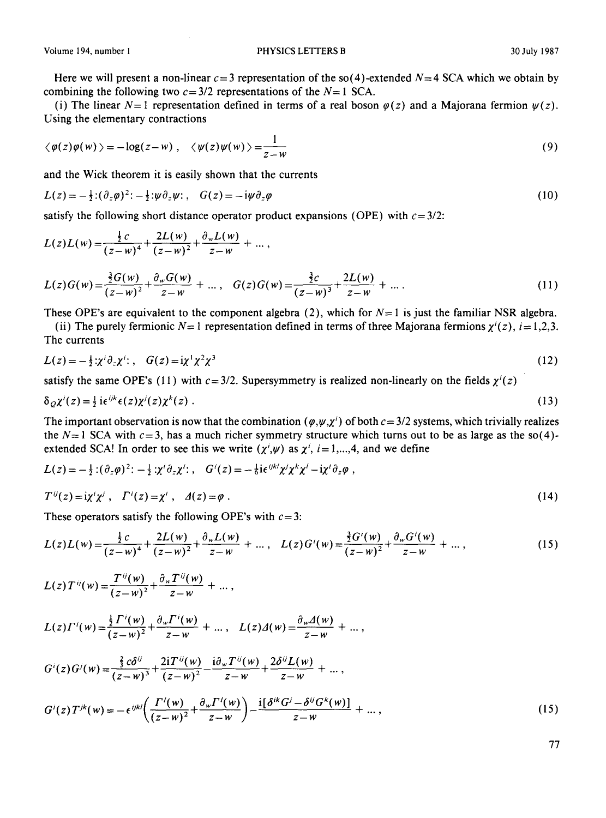### Volume 194, number 1 **PHYSICS LETTERS B** 30 July 1987

Here we will present a non-linear  $c=3$  representation of the so(4)-extended  $N=4$  SCA which we obtain by combining the following two  $c = 3/2$  representations of the  $N=1$  SCA.

(i) The linear  $N=1$  representation defined in terms of a real boson  $\varphi(z)$  and a Majorana fermion  $\psi(z)$ . Using the elementary contractions

$$
\langle \varphi(z)\varphi(w)\rangle = -\log(z-w) , \quad \langle \psi(z)\psi(w)\rangle = \frac{1}{z-w}
$$
 (9)

and the Wick theorem it is easily shown that the currents

$$
L(z) = -\frac{1}{2} \cdot (\partial_z \varphi)^2 - \frac{1}{2} \cdot \psi \partial_z \psi; \quad G(z) = -i\psi \partial_z \varphi \tag{10}
$$

satisfy the following short distance operator product expansions (OPE) with  $c = 3/2$ :

$$
L(z)L(w) = \frac{\frac{1}{2}c}{(z-w)^4} + \frac{2L(w)}{(z-w)^2} + \frac{\partial_w L(w)}{z-w} + \dots,
$$

$$
L(z)G(w) = \frac{\frac{3}{2}G(w)}{(z-w)^2} + \frac{\partial_w G(w)}{z-w} + \dots, \quad G(z)G(w) = \frac{\frac{3}{2}c}{(z-w)^3} + \frac{2L(w)}{z-w} + \dots
$$
\n(11)

These OPE's are equivalent to the component algebra (2), which for  $N=1$  is just the familiar NSR algebra.

(ii) The purely fermionic  $N=1$  representation defined in terms of three Majorana fermions  $\chi'(z)$ ,  $i= 1,2,3$ . The currents

$$
L(z) = -\frac{1}{2} \cdot \chi^i \partial_z \chi^i; \quad G(z) = i \chi^i \chi^2 \chi^3 \tag{12}
$$

satisfy the same OPE's (11) with  $c=3/2$ . Supersymmetry is realized non-linearly on the fields  $\chi'(z)$ 

$$
\delta_{\mathcal{Q}}\chi'(z) = \frac{1}{2}\operatorname{ie}^{ijk}\epsilon(z)\chi'(z)\chi'(z) \tag{13}
$$

The important observation is now that the combination ( $\varphi, \psi, \chi'$ ) of both  $c = 3/2$  systems, which trivially realizes the  $N=1$  SCA with  $c=3$ , has a much richer symmetry structure which turns out to be as large as the so(4)extended SCA! In order to see this we write  $(\chi^i,\psi)$  as  $\chi^i$ , i=1,...,4, and we define

$$
L(z) = -\frac{1}{2} \cdot (\partial_z \varphi)^2; -\frac{1}{2} \cdot \chi' \partial_z \chi'; \quad G'(z) = -\frac{1}{2} i \epsilon^{ijk} \chi' \chi^k \chi' - i \chi' \partial_z \varphi,
$$
  
\n
$$
T^{ij}(z) = i \chi' \chi' , \quad \Gamma'(z) = \chi' , \quad A(z) = \varphi .
$$
\n(14)

These operators satisfy the following OPE's with  $c = 3$ :

$$
L(z)L(w) = \frac{\frac{1}{2}c}{(z-w)^4} + \frac{2L(w)}{(z-w)^2} + \frac{\partial_w L(w)}{z-w} + \dots, \quad L(z)G^i(w) = \frac{\frac{3}{2}G^i(w)}{(z-w)^2} + \frac{\partial_w G^i(w)}{z-w} + \dots,
$$
\n(15)

$$
L(z) T^{ij}(w) = \frac{T^{ij}(w)}{(z-w)^2} + \frac{\partial_w T^{ij}(w)}{z-w} + \dots,
$$

$$
L(z)\Gamma^{i}(w) = \frac{\frac{1}{2}\Gamma^{i}(w)}{(z-w)^{2}} + \frac{\partial_{w}\Gamma^{i}(w)}{z-w} + \dots, \quad L(z)\Delta(w) = \frac{\partial_{w}\Delta(w)}{z-w} + \dots,
$$

$$
G'(z)G'(w) = \frac{\frac{2}{3}c\delta^{ij}}{(z-w)^3} + \frac{2iT^{ij}(w)}{(z-w)^2} - \frac{i\partial_w T^{ij}(w)}{z-w} + \frac{2\delta^{ij}L(w)}{z-w} + \dots,
$$

$$
G'(z)T^{jk}(w) = -\epsilon^{ijkl} \left( \frac{\Gamma'(w)}{(z-w)^2} + \frac{\partial_w \Gamma'(w)}{z-w} \right) - \frac{i[\delta^{ik} G^j - \delta^{ij} G^k(w)]}{z-w} + \dots,
$$
\n(15)

77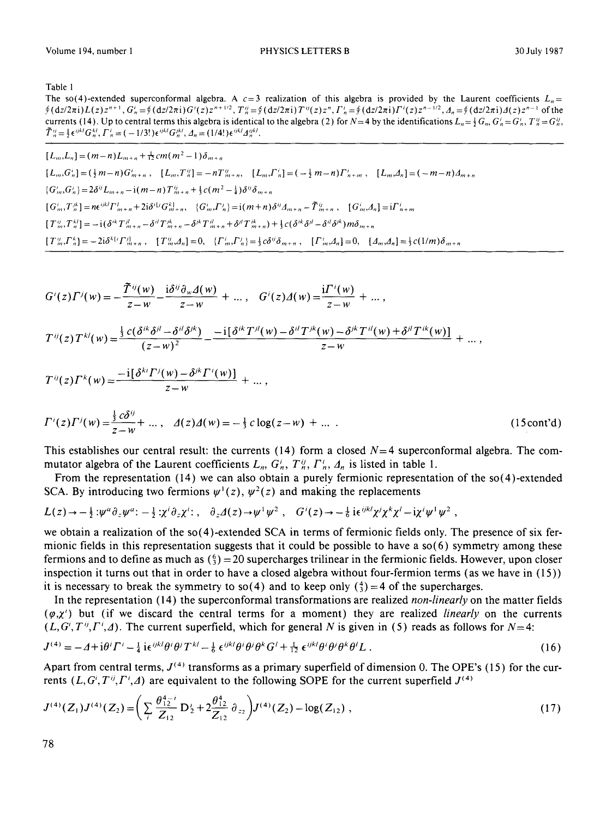Table 1

The so(4)-extended superconformal algebra. A  $c=3$  realization of this algebra is provided by the Laurent coefficients  $L<sub>n</sub>$  $\oint (dz/2\pi i)L(z)z^{n+1}, G'_n = \oint (dz/2\pi i)G'(z)z^{n+1/2}, T'_n = \oint (dz/2\pi i)T''(z)z^n, F'_n = \oint (dz/2\pi i)T'(z)z^{n-1/2}, A_n = \oint (dz/2\pi i)A(z)z^{n-1}$  of the currents (14). Up to central terms this algebra is identical to the algebra (2) for  $N=4$  by the identifications  $L_n = \frac{1}{2} G_n$ ,  $G_n^i = G_n^i$ ,  $T_n^i = G_n^i$ ,  $\tilde{T}_{n}^{ij} = \frac{1}{2} \epsilon^{ijkl} G_{n}^{kl}, \Gamma_{n}^{i} = (-1/3!) \epsilon^{ijkl} G_{n}^{kl}, \Delta_{n} = (1/4!) \epsilon^{ijkl} \Delta_{n}^{ijkl}.$ 

$$
[L_{m},L_{n}] = (m-n)L_{m+n} + \frac{1}{12}cm(m^{2}-1)\delta_{m+n}
$$
  
\n
$$
[L_{m},G'_{n}] = (\frac{1}{2}m-n)G'_{m+n}, \quad [L_{m},T''_{n}] = -nT''_{m+n}, \quad [L_{m},T'_{n}] = (-\frac{1}{2}m-n)T'_{n+m}, \quad [L_{m},A_{n}] = (-m-n)A_{m+n}
$$
  
\n
$$
\{G'_{m},G'_{n}\} = 2\delta^{ij}L_{m+n} - i(m-n)T''_{m+n} + \frac{1}{3}c(m^{2}-\frac{1}{4})\delta^{ij}\delta_{m+n}
$$
  
\n
$$
[G'_{m},T''_{n}] = n\epsilon^{ijkl}T'_{m+n} + 2i\delta^{il}G'^{kl}_{m+n}, \quad \{G'_{m},T'_{n}\} = i(m+n)\delta^{ij}A_{m+n} - \tilde{T}''_{m+n}, \quad [G'_{m},A_{n}] = i\Gamma^{i}_{n+m}
$$
  
\n
$$
[T''_{m},T''_{n}] = -i(\delta^{ik}T''_{m+n} - \delta^{il}T''_{m+n} - \delta^{jk}T''_{m+n} + \delta^{jl}T''_{m+n}) + \frac{1}{3}c(\delta^{ik}\delta^{jl} - \delta^{il}\delta^{jk})m\delta_{m+n}
$$
  
\n
$$
[T''_{m},T''_{n}] = -2i\delta^{kl}(T'^{l}_{m+n}, \quad [T''_{m},A_{n}] = 0, \quad \{T'_{m},T'_{n}\} = \frac{1}{3}c\delta^{il}\delta_{m+n}, \quad [T''_{m},A_{n}] = 0, \quad [A_{m},A_{n}] = \frac{1}{3}c(1/m)\delta_{m+n}
$$

$$
G'(z)\Gamma^{j}(w) = -\frac{\tilde{T}^{ij}(w)}{z-w} - \frac{i\delta^{ij}\partial_{w}A(w)}{z-w} + \dots, \quad G^{i}(z)A(w) = \frac{i\Gamma^{i}(w)}{z-w} + \dots,
$$
  

$$
T^{ij}(z)\Gamma^{kl}(w) = \frac{\frac{1}{3}c(\delta^{ik}\delta^{jl} - \delta^{il}\delta^{jk})}{(z-w)^{2}} - \frac{-i[\delta^{ik}T^{jl}(w) - \delta^{il}T^{jk}(w) - \delta^{jk}T^{il}(w) + \delta^{jl}T^{ik}(w)]}{z-w} + \dots,
$$

$$
T^{ij}(z)\Gamma^{k}(w) = \frac{-1[\partial^{k}T^{j}(w) - \partial^{k}T^{i}(w)]}{z-w} + \dots,
$$

$$
\Gamma'(z)\Gamma'(w) = \frac{\frac{1}{3}c\delta^{ij}}{z-w} + \dots, \quad d(z)d(w) = -\frac{1}{3}c\log(z-w) + \dots \tag{15\text{cont'd}}
$$

This establishes our central result: the currents (14) form a closed  $N=4$  superconformal algebra. The commutator algebra of the Laurent coefficients  $L_n$ ,  $G_n^i$ ,  $T_n^i$ ,  $\Gamma_n^i$ ,  $A_n$  is listed in table 1.

From the representation (14) we can also obtain a purely fermionic representation of the so(4)-extended SCA. By introducing two fermions  $\psi'(z)$ ,  $\psi^2(z)$  and making the replacements

$$
L(z) \to -\frac{1}{2} \,:\psi^a \partial_z \psi^a \,:\, -\frac{1}{2} \,:\chi^i \partial_z \chi^i \,:\, , \quad \partial_z \Delta(z) \to \psi^+ \psi^2 \;, \quad G^i(z) \to -\frac{1}{6} \,i \epsilon^{ijkl} \chi^j \chi^k \chi^l - i \chi^i \psi^l \psi^2 \;,
$$

we obtain a realization of the so(4)-extended SCA in terms of fermionic fields only. The presence of six fermionic fields in this representation suggests that it could be possible to have a  $\mathfrak{so}(6)$  symmetry among these fermions and to define as much as  $\binom{6}{3} = 20$  supercharges trilinear in the fermionic fields. However, upon closer inspection it turns out that in order to have a closed algebra without four-fermion terms (as we have in (15)) it is necessary to break the symmetry to so(4) and to keep only  $\binom{4}{3}=4$  of the supercharges.

In the representation (14) the superconformal transformations are realized *non-linearly* on the matter fields  $(\varphi, \chi')$  but (if we discard the central terms for a moment) they are realized *linearly* on the currents  $(L, G', T^{\nu}, T^{\nu}, A')$ . The current superfield, which for general N is given in (5) reads as follows for  $N=4$ :

$$
J^{(4)} = -A + i\theta^i \Gamma^i - \frac{1}{4} i\epsilon^{ijkl}\theta^i\theta^j T^{kl} - \frac{1}{6} \epsilon^{ijkl}\theta^i\theta^j\theta^k G^l + \frac{1}{12} \epsilon^{ijkl}\theta^i\theta^j\theta^k\theta^l L. \qquad (16)
$$

Apart from central terms,  $J^{(4)}$  transforms as a primary superfield of dimension 0. The OPE's (15) for the currents  $(L, G^i, T^{ij}, T^i, A)$  are equivalent to the following SOPE for the current superfield  $J^{(4)}$ 

$$
J^{(4)}(Z_1)J^{(4)}(Z_2) = \left(\sum_i \frac{\theta_{12}^{4-i}}{Z_{12}} D_2^i + 2 \frac{\theta_{12}^{4}}{Z_{12}} \partial_{z_2}\right) J^{(4)}(Z_2) - \log(Z_{12}), \qquad (17)
$$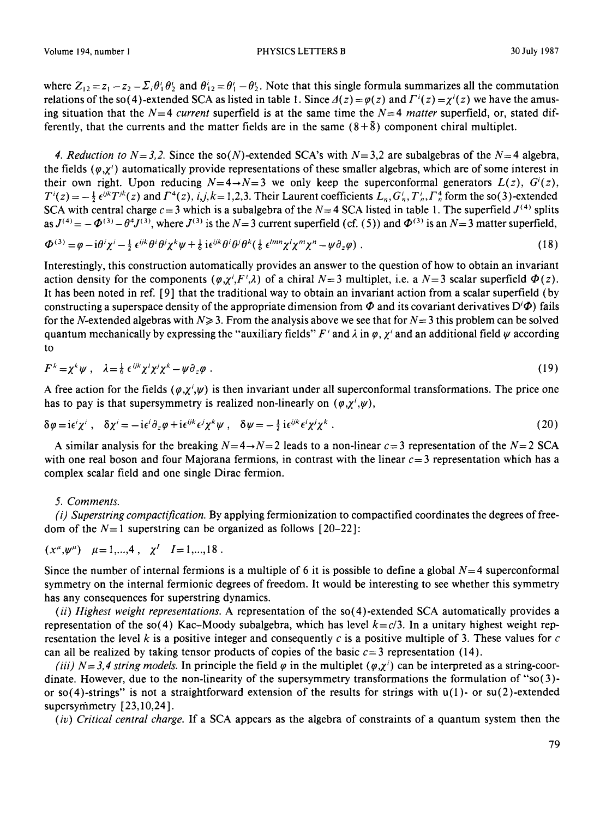Volume 194, number 1 **PHYSICS LETTERS B** 30 July 1987

where  $Z_{12} = z_1 - z_2 - \Sigma_i \theta'_1 \theta'_2$  and  $\theta'_{12} = \theta'_1 - \theta'_2$ . Note that this single formula summarizes all the commutation relations of the so(4)-extended SCA as listed in table 1. Since  $\Delta(z) = \varphi(z)$  and  $\Gamma'(z) = \chi'(z)$  we have the amusing situation that the  $N=4$  *current* superfield is at the same time the  $N=4$  *matter* superfield, or, stated differently, that the currents and the matter fields are in the same  $(8+\bar{8})$  component chiral multiplet.

4. Reduction to  $N=3,2$ . Since the so(N)-extended SCA's with  $N=3,2$  are subalgebras of the  $N=4$  algebra, the fields ( $\varphi, \chi'$ ) automatically provide representations of these smaller algebras, which are of some interest in their own right. Upon reducing  $N=4\rightarrow N=3$  we only keep the superconformal generators  $L(z)$ ,  $G^{i}(z)$ ,  $T^{\prime}(z) = -\frac{1}{2} \epsilon^{ijk} T^{jk}(z)$  and  $\Gamma^4(z)$ , *i,j,k*= 1,2,3. Their Laurent coefficients  $L_n$ ,  $G_n^i$ ,  $T_n^i$ ,  $T_n^i$  form the so(3)-extended SCA with central charge  $c=3$  which is a subalgebra of the  $N=4$  SCA listed in table 1. The superfield  $J^{(4)}$  splits as  $J^{(4)} = -\Phi^{(3)} - \theta^4 J^{(3)}$ , where  $J^{(3)}$  is the  $N = 3$  current superfield (cf. (5)) and  $\Phi^{(3)}$  is an  $N = 3$  matter superfield,

$$
\Phi^{(3)} = \varphi - i\theta^i \chi^i - \frac{1}{2} \epsilon^{ijk} \theta^i \theta^j \chi^k \psi + \frac{1}{6} i \epsilon^{ijk} \theta^i \theta^j \theta^k (\frac{1}{6} \epsilon^{lmn} \chi^l \chi^m \chi^n - \psi \partial_z \varphi).
$$
\n(18)

Interestingly, this construction automatically provides an answer to the question of how to obtain an invariant action density for the components  $(\varphi, \chi', F', \lambda)$  of a chiral  $N=3$  multiplet, i.e. a  $N=3$  scalar superfield  $\varphi(z)$ . It has been noted in ref. [9] that the traditional way to obtain an invariant action from a scalar superfield (by constructing a superspace density of the appropriate dimension from  $\Phi$  and its covariant derivatives D<sup>( $\Phi$ )</sup> fails for the N-extended algebras with  $N \ge 3$ . From the analysis above we see that for  $N=3$  this problem can be solved quantum mechanically by expressing the "auxiliary fields"  $F'$  and  $\lambda$  in  $\varphi$ ,  $\chi'$  and an additional field  $\psi$  according to

$$
F^k = \chi^k \psi \ , \quad \lambda = \frac{1}{6} \ \epsilon^{ijk} \chi^i \chi^j \chi^k - \psi \partial_z \varphi \ . \tag{19}
$$

A free action for the fields ( $\varphi$ , $\chi'$ , $\psi$ ) is then invariant under all superconformal transformations. The price one has to pay is that supersymmetry is realized non-linearly on  $(\varphi, \chi^i, \psi)$ ,

$$
\delta\varphi = i\epsilon^{i}\chi^{i} , \quad \delta\chi^{i} = -i\epsilon^{i}\partial_{z}\varphi + i\epsilon^{ijk}\epsilon^{j}\chi^{k}\psi , \quad \delta\psi = -\frac{1}{2}i\epsilon^{ijk}\epsilon^{i}\chi^{j}\chi^{k} . \tag{20}
$$

A similar analysis for the breaking  $N=4 \rightarrow N=2$  leads to a non-linear  $c=3$  representation of the  $N=2$  SCA with one real boson and four Majorana fermions, in contrast with the linear  $c=3$  representation which has a complex scalar field and one single Dirac fermion.

#### *5. Comments.*

*(i) Superstring compactification.* By applying fermionization to compactified coordinates the degrees of freedom of the  $N=1$  superstring can be organized as follows [20-22]:

 $(x^{\mu}, \psi^{\mu})$   $\mu = 1,...,4$ ,  $\chi^{I}$   $I=1,...,18$ .

Since the number of internal fermions is a multiple of 6 it is possible to define a global  $N=4$  superconformal symmetry on the internal fermionic degrees of freedom. It would be interesting to see whether this symmetry has any consequences for superstring dynamics.

*(ii) Highest weight representations.* A representation of the so(4)-extended SCA automatically provides a representation of the so(4) Kac–Moody subalgebra, which has level  $k = c/3$ . In a unitary highest weight representation the level k is a positive integer and consequently c is a positive multiple of 3. These values for c can all be realized by taking tensor products of copies of the basic  $c=3$  representation (14).

*(iii) N = 3,4 string models.* In principle the field  $\varphi$  in the multiplet  $(\varphi, \chi')$  can be interpreted as a string-coordinate. However, due to the non-linearity of the supersymmetry transformations the formulation of "so(3)or so(4)-strings" is not a straightforward extension of the results for strings with u(1)- or su(2)-extended supersymmetry  $[23,10,24]$ .

*(iv) Critical central charge.* If a SCA appears as the algebra of constraints of a quantum system then the